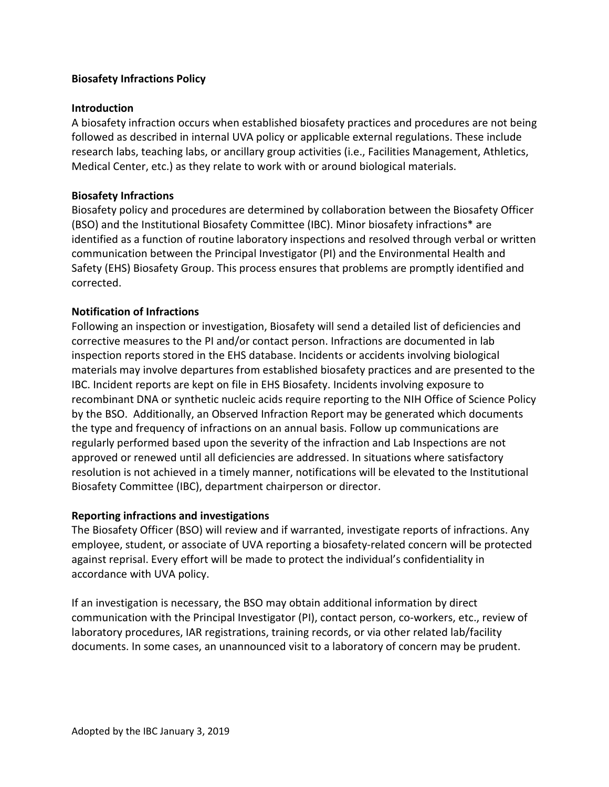## **Biosafety Infractions Policy**

#### **Introduction**

A biosafety infraction occurs when established biosafety practices and procedures are not being followed as described in internal UVA policy or applicable external regulations. These include research labs, teaching labs, or ancillary group activities (i.e., Facilities Management, Athletics, Medical Center, etc.) as they relate to work with or around biological materials.

#### **Biosafety Infractions**

Biosafety policy and procedures are determined by collaboration between the Biosafety Officer (BSO) and the Institutional Biosafety Committee (IBC). Minor biosafety infractions\* are identified as a function of routine laboratory inspections and resolved through verbal or written communication between the Principal Investigator (PI) and the Environmental Health and Safety (EHS) Biosafety Group. This process ensures that problems are promptly identified and corrected.

#### **Notification of Infractions**

Following an inspection or investigation, Biosafety will send a detailed list of deficiencies and corrective measures to the PI and/or contact person. Infractions are documented in lab inspection reports stored in the EHS database. Incidents or accidents involving biological materials may involve departures from established biosafety practices and are presented to the IBC. Incident reports are kept on file in EHS Biosafety. Incidents involving exposure to recombinant DNA or synthetic nucleic acids require reporting to the NIH Office of Science Policy by the BSO. Additionally, an Observed Infraction Report may be generated which documents the type and frequency of infractions on an annual basis. Follow up communications are regularly performed based upon the severity of the infraction and Lab Inspections are not approved or renewed until all deficiencies are addressed. In situations where satisfactory resolution is not achieved in a timely manner, notifications will be elevated to the Institutional Biosafety Committee (IBC), department chairperson or director.

#### **Reporting infractions and investigations**

The Biosafety Officer (BSO) will review and if warranted, investigate reports of infractions. Any employee, student, or associate of UVA reporting a biosafety-related concern will be protected against reprisal. Every effort will be made to protect the individual's confidentiality in accordance with UVA policy.

If an investigation is necessary, the BSO may obtain additional information by direct communication with the Principal Investigator (PI), contact person, co-workers, etc., review of laboratory procedures, IAR registrations, training records, or via other related lab/facility documents. In some cases, an unannounced visit to a laboratory of concern may be prudent.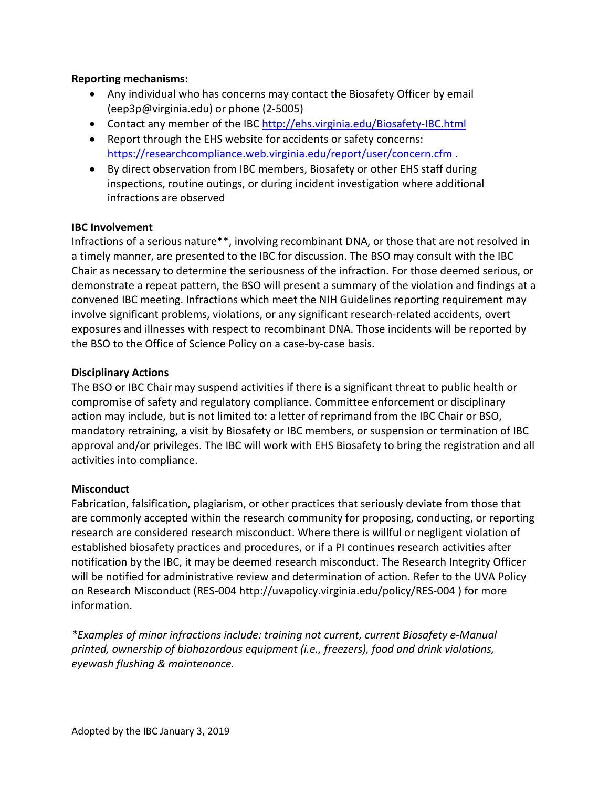#### **Reporting mechanisms:**

- Any individual who has concerns may contact the Biosafety Officer by email (eep3p@virginia.edu) or phone (2-5005)
- Contact any member of the IBC<http://ehs.virginia.edu/Biosafety-IBC.html>
- Report through the EHS website for accidents or safety concerns: <https://researchcompliance.web.virginia.edu/report/user/concern.cfm> .
- By direct observation from IBC members, Biosafety or other EHS staff during inspections, routine outings, or during incident investigation where additional infractions are observed

## **IBC Involvement**

Infractions of a serious nature\*\*, involving recombinant DNA, or those that are not resolved in a timely manner, are presented to the IBC for discussion. The BSO may consult with the IBC Chair as necessary to determine the seriousness of the infraction. For those deemed serious, or demonstrate a repeat pattern, the BSO will present a summary of the violation and findings at a convened IBC meeting. Infractions which meet the NIH Guidelines reporting requirement may involve significant problems, violations, or any significant research-related accidents, overt exposures and illnesses with respect to recombinant DNA. Those incidents will be reported by the BSO to the Office of Science Policy on a case-by-case basis.

## **Disciplinary Actions**

The BSO or IBC Chair may suspend activities if there is a significant threat to public health or compromise of safety and regulatory compliance. Committee enforcement or disciplinary action may include, but is not limited to: a letter of reprimand from the IBC Chair or BSO, mandatory retraining, a visit by Biosafety or IBC members, or suspension or termination of IBC approval and/or privileges. The IBC will work with EHS Biosafety to bring the registration and all activities into compliance.

# **Misconduct**

Fabrication, falsification, plagiarism, or other practices that seriously deviate from those that are commonly accepted within the research community for proposing, conducting, or reporting research are considered research misconduct. Where there is willful or negligent violation of established biosafety practices and procedures, or if a PI continues research activities after notification by the IBC, it may be deemed research misconduct. The Research Integrity Officer will be notified for administrative review and determination of action. Refer to the UVA Policy on Research Misconduct (RES-004 http://uvapolicy.virginia.edu/policy/RES-004 ) for more information.

*\*Examples of minor infractions include: training not current, current Biosafety e-Manual printed, ownership of biohazardous equipment (i.e., freezers), food and drink violations, eyewash flushing & maintenance.*